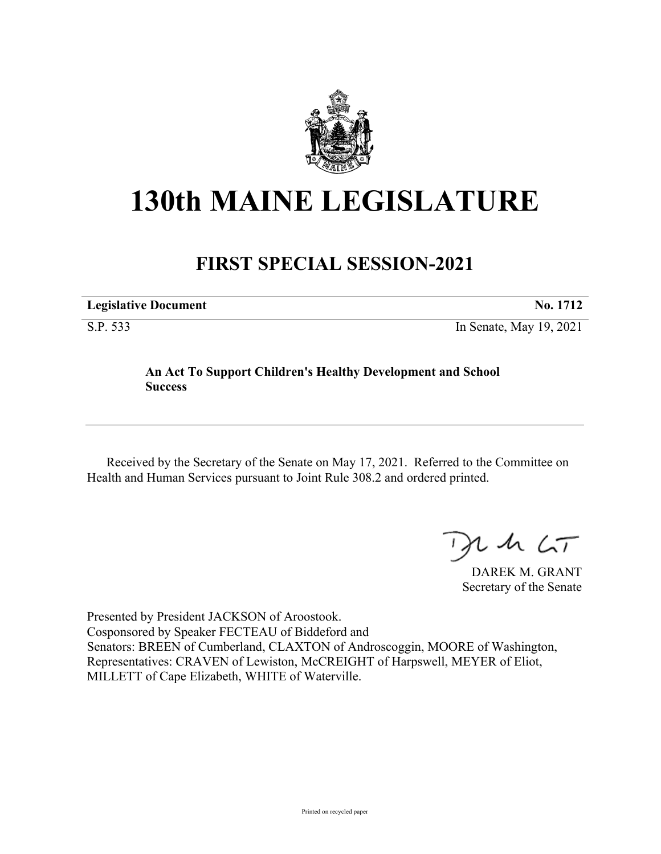

## **130th MAINE LEGISLATURE**

## **FIRST SPECIAL SESSION-2021**

| <b>Legislative Document</b> | No. 1712                |
|-----------------------------|-------------------------|
| S.P. 533                    | In Senate, May 19, 2021 |

## **An Act To Support Children's Healthy Development and School Success**

Received by the Secretary of the Senate on May 17, 2021. Referred to the Committee on Health and Human Services pursuant to Joint Rule 308.2 and ordered printed.

 $125$ 

DAREK M. GRANT Secretary of the Senate

Presented by President JACKSON of Aroostook. Cosponsored by Speaker FECTEAU of Biddeford and Senators: BREEN of Cumberland, CLAXTON of Androscoggin, MOORE of Washington, Representatives: CRAVEN of Lewiston, McCREIGHT of Harpswell, MEYER of Eliot, MILLETT of Cape Elizabeth, WHITE of Waterville.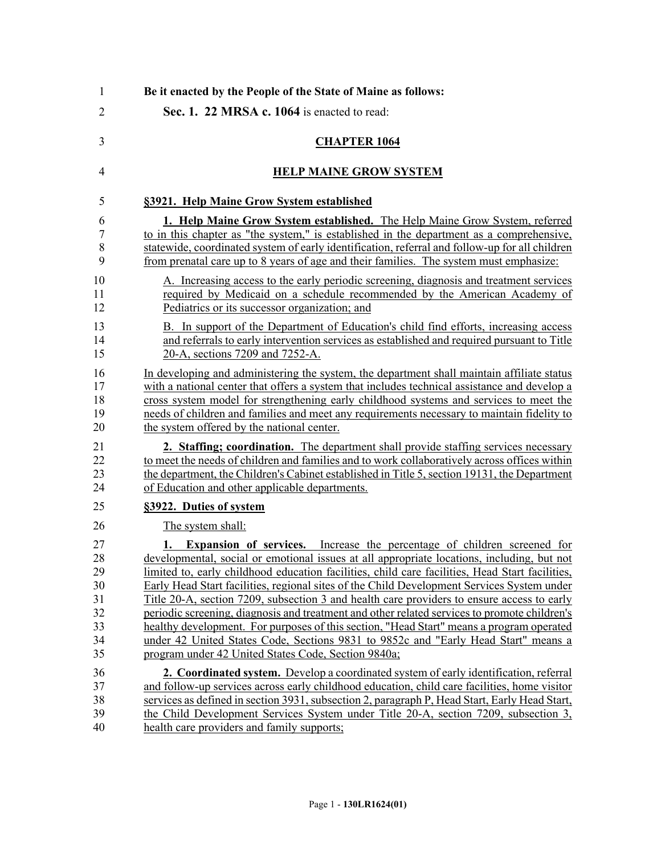| 1              | Be it enacted by the People of the State of Maine as follows:                                   |
|----------------|-------------------------------------------------------------------------------------------------|
| $\overline{2}$ | Sec. 1. 22 MRSA c. 1064 is enacted to read:                                                     |
| 3              | <b>CHAPTER 1064</b>                                                                             |
| $\overline{4}$ | <b>HELP MAINE GROW SYSTEM</b>                                                                   |
| 5              | §3921. Help Maine Grow System established                                                       |
| 6              | 1. Help Maine Grow System established. The Help Maine Grow System, referred                     |
| 7              | to in this chapter as "the system," is established in the department as a comprehensive,        |
| 8              | statewide, coordinated system of early identification, referral and follow-up for all children  |
| 9              | from prenatal care up to 8 years of age and their families. The system must emphasize:          |
| 10             | A. Increasing access to the early periodic screening, diagnosis and treatment services          |
| 11             | required by Medicaid on a schedule recommended by the American Academy of                       |
| 12             | Pediatrics or its successor organization; and                                                   |
| 13             | B. In support of the Department of Education's child find efforts, increasing access            |
| 14             | and referrals to early intervention services as established and required pursuant to Title      |
| 15             | 20-A, sections 7209 and 7252-A.                                                                 |
| 16             | In developing and administering the system, the department shall maintain affiliate status      |
| 17             | with a national center that offers a system that includes technical assistance and develop a    |
| 18             | cross system model for strengthening early childhood systems and services to meet the           |
| 19             | needs of children and families and meet any requirements necessary to maintain fidelity to      |
| 20             | the system offered by the national center.                                                      |
| 21             | 2. Staffing; coordination. The department shall provide staffing services necessary             |
| 22             | to meet the needs of children and families and to work collaboratively across offices within    |
| 23             | the department, the Children's Cabinet established in Title 5, section 19131, the Department    |
| 24             | of Education and other applicable departments.                                                  |
| 25             | §3922. Duties of system                                                                         |
| 26             | The system shall:                                                                               |
| 27             | <b>1.</b> Expansion of services. Increase the percentage of children screened for               |
| 28             | developmental, social or emotional issues at all appropriate locations, including, but not      |
| 29             | limited to, early childhood education facilities, child care facilities, Head Start facilities, |
| 30             | Early Head Start facilities, regional sites of the Child Development Services System under      |
| 31             | Title 20-A, section 7209, subsection 3 and health care providers to ensure access to early      |
| 32             | periodic screening, diagnosis and treatment and other related services to promote children's    |
| 33             | healthy development. For purposes of this section, "Head Start" means a program operated        |
| 34             | under 42 United States Code, Sections 9831 to 9852c and "Early Head Start" means a              |
| 35             | program under 42 United States Code, Section 9840a;                                             |
| 36             | 2. Coordinated system. Develop a coordinated system of early identification, referral           |
| 37             | and follow-up services across early childhood education, child care facilities, home visitor    |
| 38             | services as defined in section 3931, subsection 2, paragraph P, Head Start, Early Head Start,   |
| 39             | the Child Development Services System under Title 20-A, section 7209, subsection 3,             |
| 40             | health care providers and family supports;                                                      |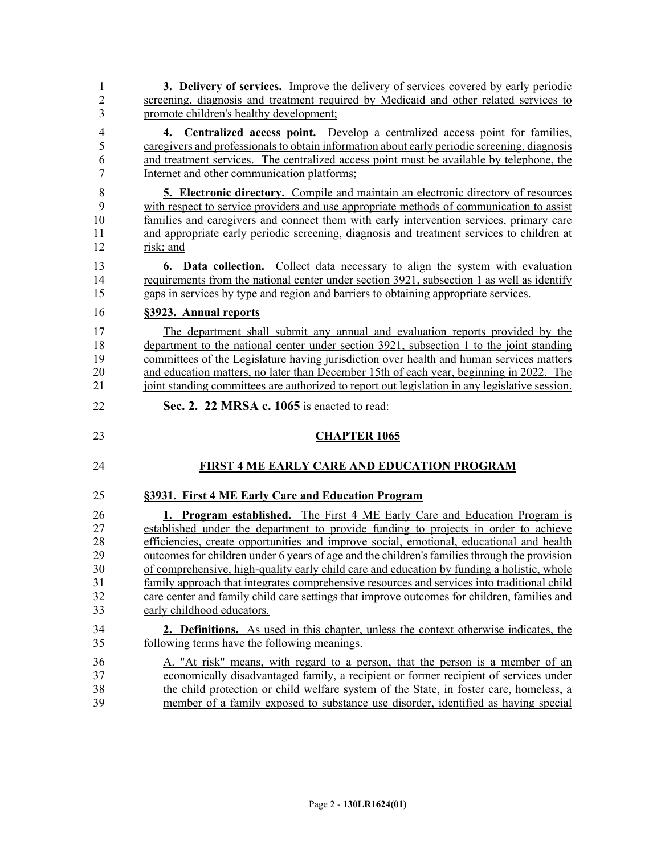| 1              | 3. Delivery of services. Improve the delivery of services covered by early periodic            |
|----------------|------------------------------------------------------------------------------------------------|
| $\overline{2}$ | screening, diagnosis and treatment required by Medicaid and other related services to          |
| 3              | promote children's healthy development;                                                        |
| $\overline{4}$ | 4. Centralized access point. Develop a centralized access point for families,                  |
| 5              | caregivers and professionals to obtain information about early periodic screening, diagnosis   |
| 6              | and treatment services. The centralized access point must be available by telephone, the       |
| $\overline{7}$ | Internet and other communication platforms;                                                    |
| 8              | <b>5. Electronic directory.</b> Compile and maintain an electronic directory of resources      |
| 9              | with respect to service providers and use appropriate methods of communication to assist       |
| 10             | families and caregivers and connect them with early intervention services, primary care        |
| 11             | and appropriate early periodic screening, diagnosis and treatment services to children at      |
| 12             | risk; and                                                                                      |
| 13             | <b>6.</b> Data collection. Collect data necessary to align the system with evaluation          |
| 14             | requirements from the national center under section 3921, subsection 1 as well as identify     |
| 15             | gaps in services by type and region and barriers to obtaining appropriate services.            |
| 16             | §3923. Annual reports                                                                          |
| 17             | The department shall submit any annual and evaluation reports provided by the                  |
| 18             | department to the national center under section 3921, subsection 1 to the joint standing       |
| 19             | committees of the Legislature having jurisdiction over health and human services matters       |
| 20             | and education matters, no later than December 15th of each year, beginning in 2022. The        |
| 21             | joint standing committees are authorized to report out legislation in any legislative session. |
|                |                                                                                                |
| 22             | Sec. 2. 22 MRSA c. 1065 is enacted to read:                                                    |
| 23             | <b>CHAPTER 1065</b>                                                                            |
| 24             | FIRST 4 ME EARLY CARE AND EDUCATION PROGRAM                                                    |
| 25             | §3931. First 4 ME Early Care and Education Program                                             |
| 26             | 1. Program established. The First 4 ME Early Care and Education Program is                     |
| 27             | established under the department to provide funding to projects in order to achieve            |
| 28             | efficiencies, create opportunities and improve social, emotional, educational and health       |
| 29             | outcomes for children under 6 years of age and the children's families through the provision   |
| 30             | of comprehensive, high-quality early child care and education by funding a holistic, whole     |
| 31             | family approach that integrates comprehensive resources and services into traditional child    |
| 32             | care center and family child care settings that improve outcomes for children, families and    |
| 33             | early childhood educators.                                                                     |
| 34             | <b>2. Definitions.</b> As used in this chapter, unless the context otherwise indicates, the    |
| 35             | following terms have the following meanings.                                                   |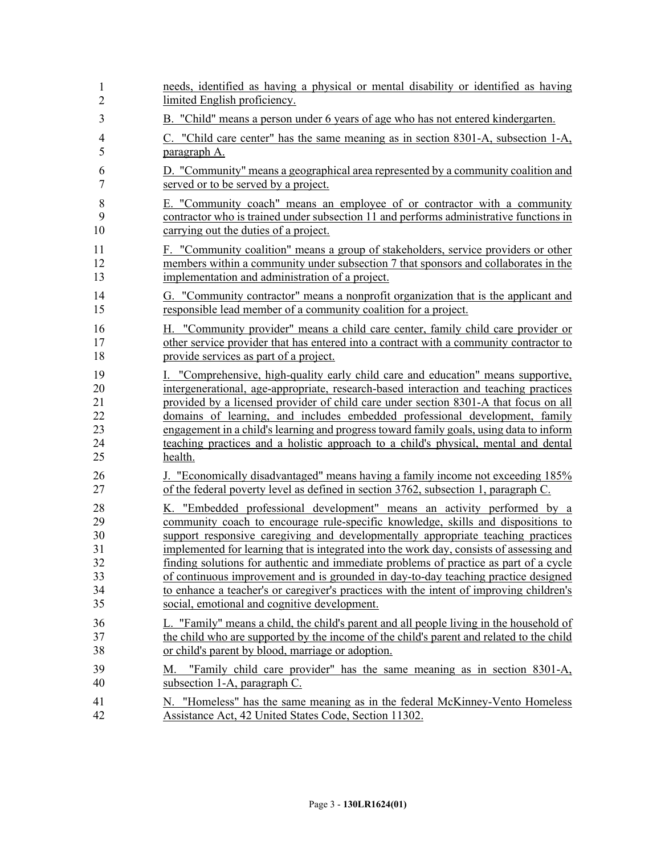| 1              | needs, identified as having a physical or mental disability or identified as having                           |
|----------------|---------------------------------------------------------------------------------------------------------------|
| $\overline{2}$ | limited English proficiency.                                                                                  |
| 3              | B. "Child" means a person under 6 years of age who has not entered kindergarten.                              |
| 4              | C. "Child care center" has the same meaning as in section 8301-A, subsection 1-A,                             |
| 5              | paragraph A.                                                                                                  |
| 6              | D. "Community" means a geographical area represented by a community coalition and                             |
| 7              | served or to be served by a project.                                                                          |
| 8              | E. "Community coach" means an employee of or contractor with a community                                      |
| 9              | contractor who is trained under subsection 11 and performs administrative functions in                        |
| 10             | carrying out the duties of a project.                                                                         |
| 11             | F. "Community coalition" means a group of stakeholders, service providers or other                            |
| 12             | members within a community under subsection 7 that sponsors and collaborates in the                           |
| 13             | implementation and administration of a project.                                                               |
| 14             | G. "Community contractor" means a nonprofit organization that is the applicant and                            |
| 15             | responsible lead member of a community coalition for a project.                                               |
| 16             | H. "Community provider" means a child care center, family child care provider or                              |
| 17             | other service provider that has entered into a contract with a community contractor to                        |
| 18             | provide services as part of a project.                                                                        |
| 19             | I. "Comprehensive, high-quality early child care and education" means supportive,                             |
| 20             | intergenerational, age-appropriate, research-based interaction and teaching practices                         |
| 21             | provided by a licensed provider of child care under section 8301-A that focus on all                          |
| 22             | domains of learning, and includes embedded professional development, family                                   |
| 23             | engagement in a child's learning and progress toward family goals, using data to inform                       |
| 24             | teaching practices and a holistic approach to a child's physical, mental and dental                           |
| 25             | health.                                                                                                       |
| 26             | J. "Economically disadvantaged" means having a family income not exceeding 185%                               |
| 27             | of the federal poverty level as defined in section 3762, subsection 1, paragraph C.                           |
| 28             | K. "Embedded professional development" means an activity performed by a                                       |
| 29             | community coach to encourage rule-specific knowledge, skills and dispositions to                              |
| 30             | support responsive caregiving and developmentally appropriate teaching practices                              |
| 31             | implemented for learning that is integrated into the work day, consists of assessing and                      |
| 32             | finding solutions for authentic and immediate problems of practice as part of a cycle                         |
| 33             | of continuous improvement and is grounded in day-to-day teaching practice designed                            |
| 34             | to enhance a teacher's or caregiver's practices with the intent of improving children's                       |
| 35             | social, emotional and cognitive development.                                                                  |
| 36             | L. "Family" means a child, the child's parent and all people living in the household of                       |
| 37             | the child who are supported by the income of the child's parent and related to the child                      |
| 38             | or child's parent by blood, marriage or adoption.                                                             |
| 39<br>40       | "Family child care provider" has the same meaning as in section 8301-A,<br>M.<br>subsection 1-A, paragraph C. |
| 41             | N. "Homeless" has the same meaning as in the federal McKinney-Vento Homeless                                  |
| 42             | Assistance Act, 42 United States Code, Section 11302.                                                         |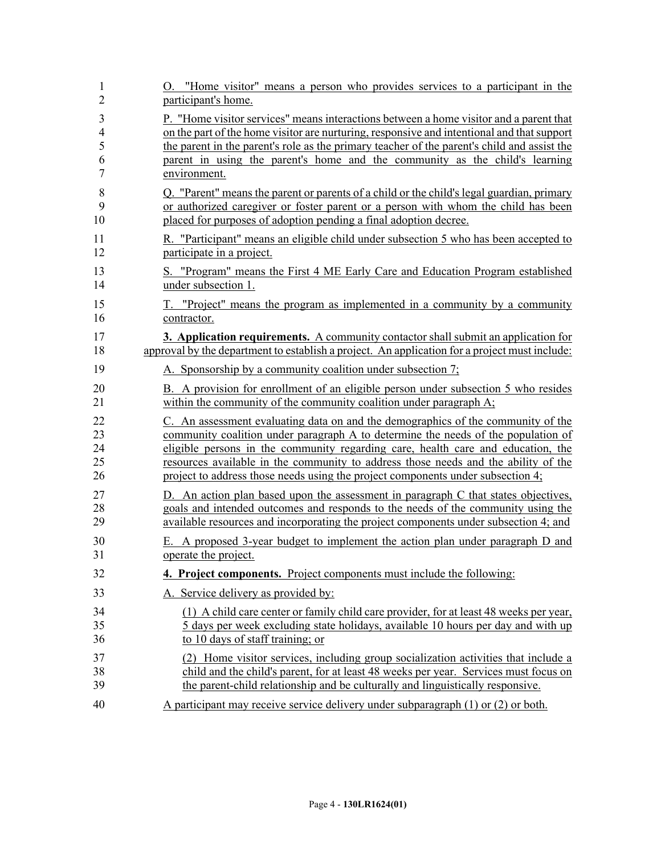| 1              | O. "Home visitor" means a person who provides services to a participant in the                |
|----------------|-----------------------------------------------------------------------------------------------|
| $\overline{2}$ | participant's home.                                                                           |
| 3              | P. "Home visitor services" means interactions between a home visitor and a parent that        |
| $\overline{4}$ | on the part of the home visitor are nurturing, responsive and intentional and that support    |
| 5              | the parent in the parent's role as the primary teacher of the parent's child and assist the   |
| 6              | parent in using the parent's home and the community as the child's learning                   |
| 7              | environment.                                                                                  |
| 8              | Q. "Parent" means the parent or parents of a child or the child's legal guardian, primary     |
| 9              | or authorized caregiver or foster parent or a person with whom the child has been             |
| 10             | placed for purposes of adoption pending a final adoption decree.                              |
| 11             | R. "Participant" means an eligible child under subsection 5 who has been accepted to          |
| 12             | participate in a project.                                                                     |
| 13             | S. "Program" means the First 4 ME Early Care and Education Program established                |
| 14             | under subsection 1.                                                                           |
| 15             | T. "Project" means the program as implemented in a community by a community                   |
| 16             | contractor.                                                                                   |
| 17             | 3. Application requirements. A community contactor shall submit an application for            |
| 18             | approval by the department to establish a project. An application for a project must include: |
| 19             | A. Sponsorship by a community coalition under subsection 7;                                   |
| 20             | B. A provision for enrollment of an eligible person under subsection 5 who resides            |
| 21             | within the community of the community coalition under paragraph A;                            |
| 22             | C. An assessment evaluating data on and the demographics of the community of the              |
| 23             | community coalition under paragraph A to determine the needs of the population of             |
| 24             | eligible persons in the community regarding care, health care and education, the              |
| 25             | resources available in the community to address those needs and the ability of the            |
| 26             | project to address those needs using the project components under subsection 4;               |
| 27             | D. An action plan based upon the assessment in paragraph C that states objectives,            |
| 28             | goals and intended outcomes and responds to the needs of the community using the              |
| 29             | available resources and incorporating the project components under subsection 4; and          |
| 30             | E. A proposed 3-year budget to implement the action plan under paragraph D and                |
| 31             | operate the project.                                                                          |
| 32             | 4. Project components. Project components must include the following:                         |
| 33             | A. Service delivery as provided by:                                                           |
| 34             | (1) A child care center or family child care provider, for at least 48 weeks per year,        |
| 35             | 5 days per week excluding state holidays, available 10 hours per day and with up              |
| 36             | to 10 days of staff training; or                                                              |
| 37             | (2) Home visitor services, including group socialization activities that include a            |
| 38             | child and the child's parent, for at least 48 weeks per year. Services must focus on          |
| 39             | the parent-child relationship and be culturally and linguistically responsive.                |
| 40             | A participant may receive service delivery under subparagraph $(1)$ or $(2)$ or both.         |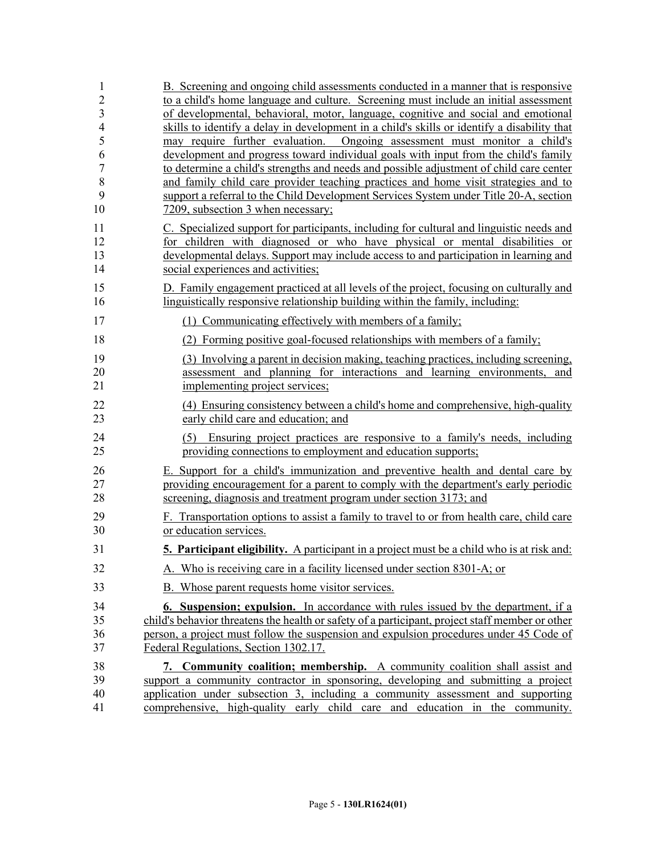| 1               | B. Screening and ongoing child assessments conducted in a manner that is responsive                                                                                           |
|-----------------|-------------------------------------------------------------------------------------------------------------------------------------------------------------------------------|
| $\overline{2}$  | to a child's home language and culture. Screening must include an initial assessment                                                                                          |
| 3               | of developmental, behavioral, motor, language, cognitive and social and emotional                                                                                             |
| $\overline{4}$  | skills to identify a delay in development in a child's skills or identify a disability that                                                                                   |
| 5               | may require further evaluation. Ongoing assessment must monitor a child's                                                                                                     |
| 6               | development and progress toward individual goals with input from the child's family                                                                                           |
| $\sqrt{ }$<br>8 | to determine a child's strengths and needs and possible adjustment of child care center<br>and family child care provider teaching practices and home visit strategies and to |
| 9               | support a referral to the Child Development Services System under Title 20-A, section                                                                                         |
| 10              | 7209, subsection 3 when necessary;                                                                                                                                            |
| 11              | C. Specialized support for participants, including for cultural and linguistic needs and                                                                                      |
| 12              | for children with diagnosed or who have physical or mental disabilities or                                                                                                    |
| 13              | developmental delays. Support may include access to and participation in learning and                                                                                         |
| 14              | social experiences and activities;                                                                                                                                            |
| 15              | D. Family engagement practiced at all levels of the project, focusing on culturally and                                                                                       |
| 16              | linguistically responsive relationship building within the family, including:                                                                                                 |
| 17              | (1) Communicating effectively with members of a family;                                                                                                                       |
| 18              | (2) Forming positive goal-focused relationships with members of a family;                                                                                                     |
| 19              | (3) Involving a parent in decision making, teaching practices, including screening,                                                                                           |
| 20              | assessment and planning for interactions and learning environments, and                                                                                                       |
| 21              | implementing project services;                                                                                                                                                |
| 22              | (4) Ensuring consistency between a child's home and comprehensive, high-quality                                                                                               |
| 23              | early child care and education; and                                                                                                                                           |
| 24              | (5) Ensuring project practices are responsive to a family's needs, including                                                                                                  |
| 25              | providing connections to employment and education supports;                                                                                                                   |
| 26              | E. Support for a child's immunization and preventive health and dental care by                                                                                                |
| 27              | providing encouragement for a parent to comply with the department's early periodic                                                                                           |
| 28              | screening, diagnosis and treatment program under section 3173; and                                                                                                            |
| 29              | F. Transportation options to assist a family to travel to or from health care, child care                                                                                     |
| 30              | or education services.                                                                                                                                                        |
| 31              | <b>5. Participant eligibility.</b> A participant in a project must be a child who is at risk and:                                                                             |
| 32              | A. Who is receiving care in a facility licensed under section 8301-A; or                                                                                                      |
| 33              | B. Whose parent requests home visitor services.                                                                                                                               |
| 34              | <b>6. Suspension; expulsion.</b> In accordance with rules issued by the department, if a                                                                                      |
| 35              | child's behavior threatens the health or safety of a participant, project staff member or other                                                                               |
| 36              | person, a project must follow the suspension and expulsion procedures under 45 Code of                                                                                        |
| 37              | Federal Regulations, Section 1302.17.                                                                                                                                         |
| 38              | 7. Community coalition; membership. A community coalition shall assist and                                                                                                    |
| 39              | support a community contractor in sponsoring, developing and submitting a project                                                                                             |
| 40              | application under subsection 3, including a community assessment and supporting                                                                                               |
| 41              | comprehensive, high-quality early child care and education in the community.                                                                                                  |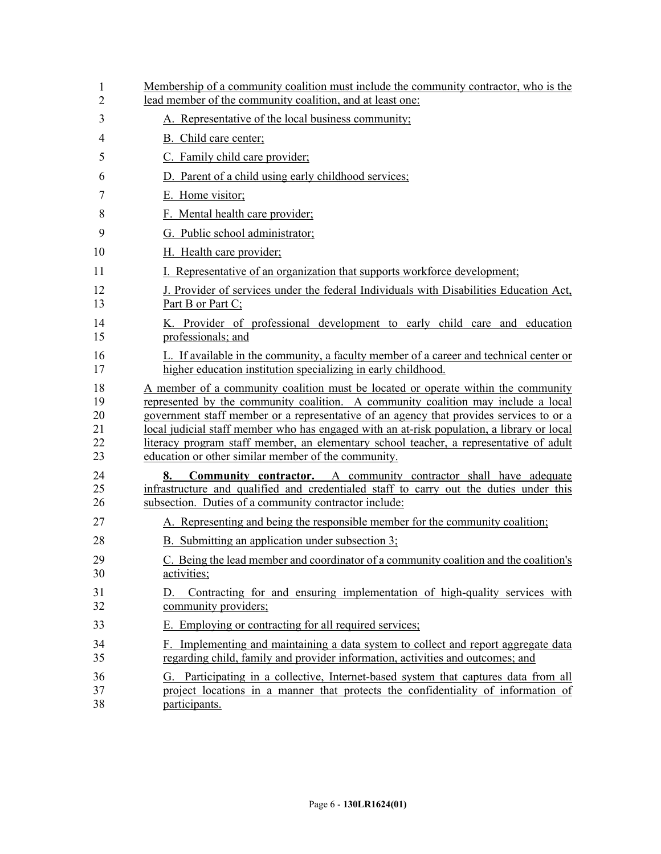| 1<br>2                           | Membership of a community coalition must include the community contractor, who is the<br>lead member of the community coalition, and at least one:                                                                                                                                                                                                                                                                                                                                                               |
|----------------------------------|------------------------------------------------------------------------------------------------------------------------------------------------------------------------------------------------------------------------------------------------------------------------------------------------------------------------------------------------------------------------------------------------------------------------------------------------------------------------------------------------------------------|
| 3                                | A. Representative of the local business community;                                                                                                                                                                                                                                                                                                                                                                                                                                                               |
| 4                                | B. Child care center;                                                                                                                                                                                                                                                                                                                                                                                                                                                                                            |
| 5                                | C. Family child care provider;                                                                                                                                                                                                                                                                                                                                                                                                                                                                                   |
| 6                                | D. Parent of a child using early childhood services;                                                                                                                                                                                                                                                                                                                                                                                                                                                             |
| 7                                | E. Home visitor;                                                                                                                                                                                                                                                                                                                                                                                                                                                                                                 |
| 8                                | F. Mental health care provider;                                                                                                                                                                                                                                                                                                                                                                                                                                                                                  |
| 9                                | G. Public school administrator;                                                                                                                                                                                                                                                                                                                                                                                                                                                                                  |
| 10                               | H. Health care provider;                                                                                                                                                                                                                                                                                                                                                                                                                                                                                         |
| 11                               | Representative of an organization that supports workforce development;                                                                                                                                                                                                                                                                                                                                                                                                                                           |
| 12<br>13                         | J. Provider of services under the federal Individuals with Disabilities Education Act,<br>Part B or Part C;                                                                                                                                                                                                                                                                                                                                                                                                      |
| 14<br>15                         | K. Provider of professional development to early child care and education<br>professionals; and                                                                                                                                                                                                                                                                                                                                                                                                                  |
| 16<br>17                         | L. If available in the community, a faculty member of a career and technical center or<br>higher education institution specializing in early childhood.                                                                                                                                                                                                                                                                                                                                                          |
| 18<br>19<br>20<br>21<br>22<br>23 | A member of a community coalition must be located or operate within the community<br>represented by the community coalition. A community coalition may include a local<br>government staff member or a representative of an agency that provides services to or a<br>local judicial staff member who has engaged with an at-risk population, a library or local<br>literacy program staff member, an elementary school teacher, a representative of adult<br>education or other similar member of the community. |
| 24<br>25<br>26                   | <b>Community contractor.</b> A community contractor shall have adequate<br>8.<br>infrastructure and qualified and credentialed staff to carry out the duties under this<br>subsection. Duties of a community contractor include:                                                                                                                                                                                                                                                                                 |
| 27                               | A. Representing and being the responsible member for the community coalition;                                                                                                                                                                                                                                                                                                                                                                                                                                    |
| 28                               | B. Submitting an application under subsection 3;                                                                                                                                                                                                                                                                                                                                                                                                                                                                 |
| 29<br>30                         | C. Being the lead member and coordinator of a community coalition and the coalition's<br>activities;                                                                                                                                                                                                                                                                                                                                                                                                             |
| 31<br>32                         | Contracting for and ensuring implementation of high-quality services with<br>D.<br>community providers;                                                                                                                                                                                                                                                                                                                                                                                                          |
| 33                               | E. Employing or contracting for all required services;                                                                                                                                                                                                                                                                                                                                                                                                                                                           |
| 34<br>35                         | F. Implementing and maintaining a data system to collect and report aggregate data<br>regarding child, family and provider information, activities and outcomes; and                                                                                                                                                                                                                                                                                                                                             |
| 36<br>37<br>38                   | G. Participating in a collective, Internet-based system that captures data from all<br>project locations in a manner that protects the confidentiality of information of<br>participants.                                                                                                                                                                                                                                                                                                                        |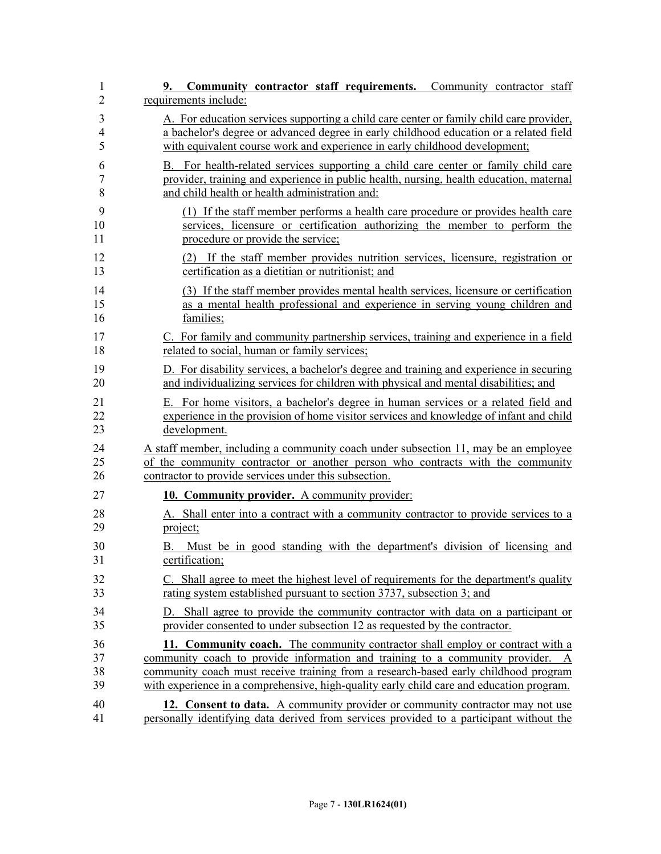| 1<br>$\overline{2}$ | Community contractor staff requirements. Community contractor staff<br>9.<br>requirements include:                                                               |
|---------------------|------------------------------------------------------------------------------------------------------------------------------------------------------------------|
| 3                   | A. For education services supporting a child care center or family child care provider,                                                                          |
| 4                   | a bachelor's degree or advanced degree in early childhood education or a related field                                                                           |
| 5                   | with equivalent course work and experience in early childhood development;                                                                                       |
| 6                   | B. For health-related services supporting a child care center or family child care                                                                               |
| 7                   | provider, training and experience in public health, nursing, health education, maternal                                                                          |
| 8                   | and child health or health administration and:                                                                                                                   |
| 9                   | (1) If the staff member performs a health care procedure or provides health care                                                                                 |
| 10                  | services, licensure or certification authorizing the member to perform the                                                                                       |
| 11                  | procedure or provide the service;                                                                                                                                |
| 12                  | (2) If the staff member provides nutrition services, licensure, registration or                                                                                  |
| 13                  | certification as a dietitian or nutritionist; and                                                                                                                |
| 14                  | (3) If the staff member provides mental health services, licensure or certification                                                                              |
| 15                  | as a mental health professional and experience in serving young children and                                                                                     |
| 16                  | families;                                                                                                                                                        |
| 17                  | C. For family and community partnership services, training and experience in a field                                                                             |
| 18                  | related to social, human or family services;                                                                                                                     |
| 19                  | D. For disability services, a bachelor's degree and training and experience in securing                                                                          |
| 20                  | and individualizing services for children with physical and mental disabilities; and                                                                             |
| 21                  | E. For home visitors, a bachelor's degree in human services or a related field and                                                                               |
| 22                  | experience in the provision of home visitor services and knowledge of infant and child                                                                           |
| 23                  | development.                                                                                                                                                     |
| 24                  | A staff member, including a community coach under subsection 11, may be an employee                                                                              |
| 25                  | of the community contractor or another person who contracts with the community                                                                                   |
| 26                  | contractor to provide services under this subsection.                                                                                                            |
| 27                  | 10. Community provider. A community provider:                                                                                                                    |
| 28                  | A. Shall enter into a contract with a community contractor to provide services to a                                                                              |
| 29                  | project;                                                                                                                                                         |
| 30<br>31            | Must be in good standing with the department's division of licensing and<br>В.<br>certification;                                                                 |
| 32                  | C. Shall agree to meet the highest level of requirements for the department's quality                                                                            |
| 33                  | rating system established pursuant to section 3737, subsection 3; and                                                                                            |
| 34<br>35            | Shall agree to provide the community contractor with data on a participant or<br>D.<br>provider consented to under subsection 12 as requested by the contractor. |
| 36                  | 11. Community coach. The community contractor shall employ or contract with a                                                                                    |
| 37                  | community coach to provide information and training to a community provider. A                                                                                   |
| 38                  | community coach must receive training from a research-based early childhood program                                                                              |
| 39                  | with experience in a comprehensive, high-quality early child care and education program.                                                                         |
| 40                  | 12. Consent to data. A community provider or community contractor may not use                                                                                    |
| 41                  | personally identifying data derived from services provided to a participant without the                                                                          |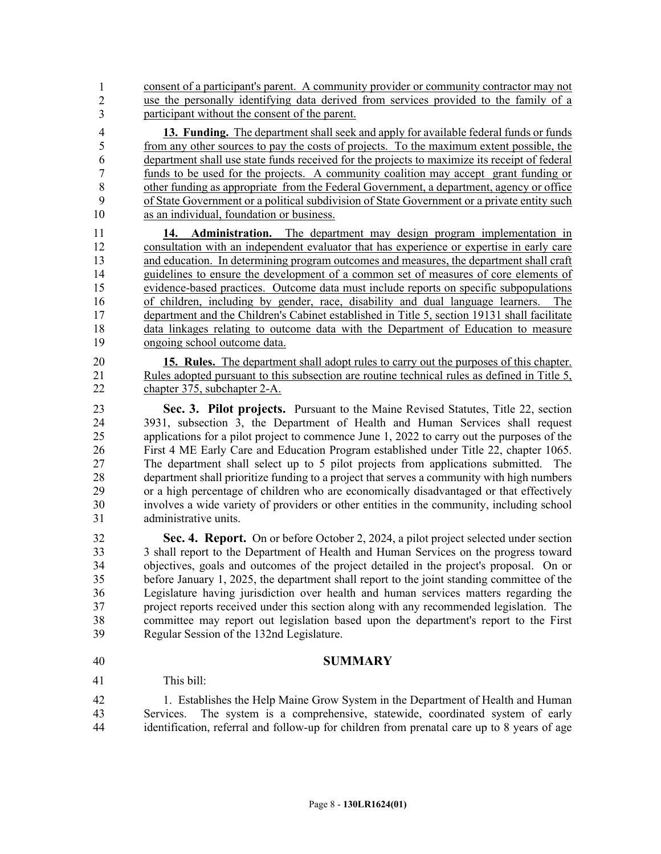42 consent of a participant's parent. A community provider or community contractor may not use the personally identifying data derived from services provided to the family of a participant without the consent of the parent. 1 2 3

4 **13. Funding.** The department shall seek and apply for available federal funds or funds 5 from any other sources to pay the costs of projects. To the maximum extent possible, the 6 department shall use state funds received for the projects to maximize its receipt of federal 7 funds to be used for the projects. A community coalition may accept grant funding or 8 other funding as appropriate from the Federal Government, a department, agency or office 9 of State Government or a political subdivision of State Government or a private entity such 10 as an individual, foundation or business.

11 **14. Administration.** The department may design program implementation in 12 consultation with an independent evaluator that has experience or expertise in early care 13 and education. In determining program outcomes and measures, the department shall craft 14 guidelines to ensure the development of a common set of measures of core elements of 15 evidence-based practices. Outcome data must include reports on specific subpopulations 16 of children, including by gender, race, disability and dual language learners. The 17 department and the Children's Cabinet established in Title 5, section 19131 shall facilitate 18 data linkages relating to outcome data with the Department of Education to measure 19 ongoing school outcome data.

20 **15. Rules.** The department shall adopt rules to carry out the purposes of this chapter. 21 Rules adopted pursuant to this subsection are routine technical rules as defined in Title 5, 22 chapter 375, subchapter 2-A.

23 **Sec. 3. Pilot projects.** Pursuant to the Maine Revised Statutes, Title 22, section 24 3931, subsection 3, the Department of Health and Human Services shall request 25 applications for a pilot project to commence June 1, 2022 to carry out the purposes of the 26 First 4 ME Early Care and Education Program established under Title 22, chapter 1065.<br>27 The department shall select up to 5 pilot projects from applications submitted. The The department shall select up to 5 pilot projects from applications submitted. The 28 department shall prioritize funding to a project that serves a community with high numbers 29 or a high percentage of children who are economically disadvantaged or that effectively 30 involves a wide variety of providers or other entities in the community, including school 31 administrative units.

32 **Sec. 4. Report.** On or before October 2, 2024, a pilot project selected under section 33 3 shall report to the Department of Health and Human Services on the progress toward 34 objectives, goals and outcomes of the project detailed in the project's proposal. On or 35 before January 1, 2025, the department shall report to the joint standing committee of the 36 Legislature having jurisdiction over health and human services matters regarding the 37 project reports received under this section along with any recommended legislation. The 38 committee may report out legislation based upon the department's report to the First 39 Regular Session of the 132nd Legislature.

40 **SUMMARY**

This  $\text{bill}$ : 41

42 1. Establishes the Help Maine Grow System in the Department of Health and Human 43 Services. The system is a comprehensive, statewide, coordinated system of early 44 identification, referral and follow-up for children from prenatal care up to 8 years of age